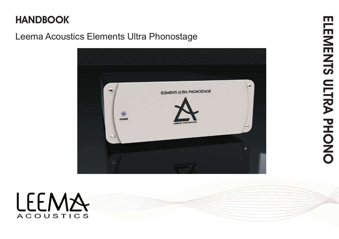# **HANDBOOK**

# Leema Acoustics Elements Ultra Phonostage



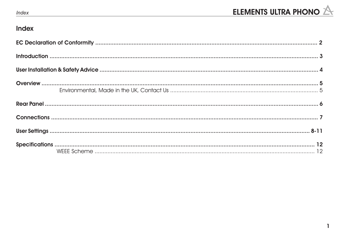

# Index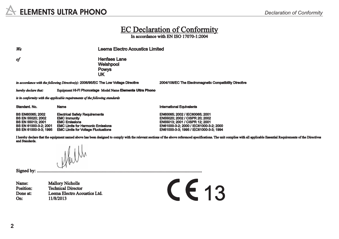#### EC Declaration of Conformity

In accordance with EN ISO 17070-1:2004

*We* Leema Electro Acoustics Limited

*of* **Henfaes Lane** Welshpool Powys UK

*in accordance with the following Directive(s):* 2006/95/ECThe Low Voltage Directive 2004/108/EC The Electromagnetic Compatibility Directive

*hereby declare that:* Equipment Hi-Fi Phonostage Model Name **Elements Ultra Phono**

*is in conformity with the applicable requirements of the following standards*

BS EN60065; 2002 Electrical Safety Requirements EN60065; 2002 / IEC60065; 2001 BS EN 55020; 2002 EMC Immunity ENS5020; 2002 / CISPR 20; 2002<br>
BS EN 55013: 2001 EMC Emissions ENS5013: 2001 / CISPR 12: 2001 BS EN 55013; 2001 EMC Emissions ENGEL EXECUTE EN ENS5013; 2001 / CISPR 12; 2001<br>
BS EN 61000-3-2: 2001 EMC Limits for Harmonic Emissions ENGEL ENG1000-3-2: 2000 / IEC61000-3 BS EN 61000-3-2; 2001 EMC Limits for Harmonic Emissions EN61000-3-2; 2000 / IEC61000-3-2; 2000

Standard. No. Name International Equivalents

EN 61000-3-3; 1995 / IEC61000-3-3; 1994

I hereby declare that the equipment named above has been designed to comply with the relevant sections of the above referenced specifications. The unit complies with all applicable Essential Requirements of the Directives and Standards.

Signed by: .................................................................................................................................................

Name: Mallory Nicholls<br>Position: Technical Directo Position: Technical Director<br>
Done at: Leema Electro Aco Leema Electro Acoustics Ltd. On: 11/8/2013

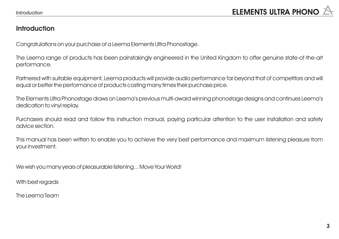#### **Introduction**

Congratulations on your purchase of a Leema Elements Ultra Phonostage.

The Leema range of products has been painstakingly engineered in the United Kingdom to offer genuine state-of-the-art performance.

Partnered with suitable equipment, Leema products will provide audio performance far beyond that of competitors and will equal or better the performance of products costing many times their purchase price.

The Elements Ultra Phonostage draws on Leema's previous multi-award winning phonostage designs and continues Leema's dedication to vinyl replay.

Purchasers should read and follow this instruction manual, paying particular attention to the user installation and safety advice section.

This manual has been written to enable you to achieve the very best performance and maximum listening pleasure from your investment.

We wish you many years of pleasurable listening... Move Your World!

With best regards

The Leema Team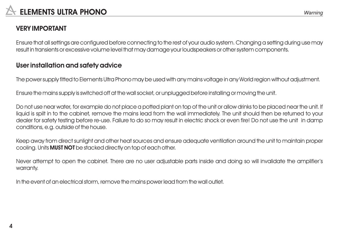# **VERY IMPORTANT**

Ensure that all settings are configured before connecting to the rest of your audio system. Changing a setting during use may result in transients or excessive volume level that may damage your loudspeakers or other system components.

# **User installation and safety advice**

The power supply fitted to Elements Ultra Phono may be used with any mains voltage in any World region without adjustment.

Ensure the mains supply is switched off at the wall socket, or unplugged before installing or moving the unit.

Do not use near water, for example do not place a potted plant on top of the unit or allow drinks to be placed near the unit. If liquid is spilt in to the cabinet, remove the mains lead from the wall immediately. The unit should then be returned to your dealer for safety testing before re-use. Failure to do so may result in electric shock or even fire! Do not use the unit in damp conditions, e.g. outside of the house.

Keep away from direct sunlight and other heat sources and ensure adequate ventilation around the unit to maintain proper cooling. Units **MUST NOT** be stacked directly on top of each other.

Never attempt to open the cabinet. There are no user adjustable parts inside and doing so will invalidate the amplifier's warranty.

In the event of an electrical storm, remove the mains power lead from the wall outlet.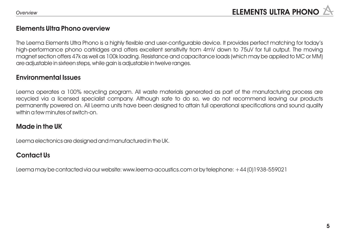#### **Elements Ultra Phono overview**

The Leema Elements Ultra Phono is a highly flexible and user-configurable device. It provides perfect matching for today's high-performance phono cartridges and offers excellent sensitivity from 4mV down to 75uV for full output. The moving magnet section offers 47k as well as 100k loading. Resistance and capacitance loads (which may be applied to MC or MM) are adjustable in sixteen steps, while gain is adjustable in twelve ranges.

#### **Environmental Issues**

Leema operates a 100% recycling program. All waste materials generated as part of the manufacturing process are recycled via a licensed specialist company. Although safe to do so, we do not recommend leaving our products permanently powered on. All Leema units have been designed to attain full operational specifications and sound quality within a few minutes of switch-on.

# **Made in the UK**

Leema electronics are designed and manufactured in the UK.

# **Contact Us**

Leema may be contacted via our website: www.leema-acoustics.com or by telephone: +44 (0)1938-559021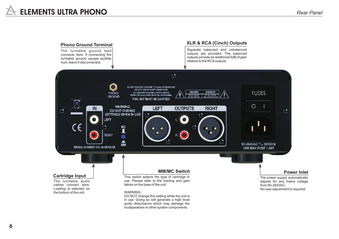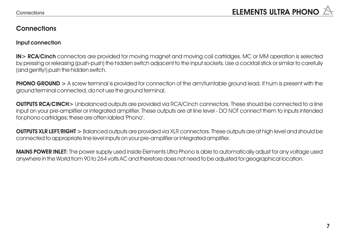#### **Connections**

#### **Input connection**

**IN> RCA/Cinch** connectors are provided for moving magnet and moving coil cartridges. MC or MM operation is selected by pressing or releasing (push-push) the hidden switch adjacent to the input sockets. Use a cocktail stick or similar to carefully (and gently!) push the hidden switch.

**PHONO GROUND** > A screw terminal is provided for connection of the arm/turntable ground lead. If hum is present with the ground terminal connected, do not use the ground terminal.

**OUTPUTS RCA/CINCH>** Unbalanced outputs are provided via RCA/Cinch connectors. These should be connected to a line input on your pre-amplifier or integrated amplifier. These outputs are at line level - DO NOT connect them to inputs intended for phono cartridges; these are often labled 'Phono'.

**OUTPUTS XLR LEFT/RIGHT >** Balanced outputs are provided via XLR connectors. These outputs are at high level and should be connected to appropriate line level inputs on your pre-amplifier or integrated amplifier.

**MAINS POWER INLET:** The power supply used inside Elements Ultra Phono is able to automatically adjust for any voltage used anywhere in the World from 90 to 264 volts AC and therefore does not need to be adjusted for geographical location.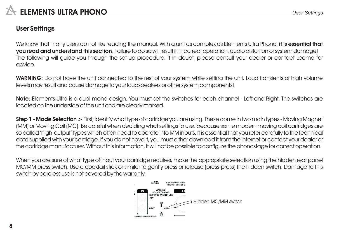# **User Settings**

We know that many users do not like reading the manual. With a unit as complex as Elements Ultra Phono, **it is essential that you read and understand this section**. Failure to do so will result in incorrect operation, audio distortion or system damage! The following will guide you through the set-up procedure. If in doubt, please consult your dealer or contact Leema for advice.

**WARNING:** Do not have the unit connected to the rest of your system while setting the unit. Loud transients or high volume levels may result and cause damage to your loudspeakers or other system components!

**Note:** Elements Ultra is a dual mono design. You must set the switches for each channel - Left and Right. The switches are located on the underside of the unit and are clearly marked.

**Step 1 - Mode Selection >** First, identify what type of cartridge you are using. These come in two main types - Moving Magnet (MM) or Moving Coil (MC). Be careful when deciding what settings to use, because some modern moving coil cartridges are so called 'high-output' types which often need to operate into MM inputs. It is essential that you refer carefully to the technical data supplied with your cartridge. If you do not have it, you must either download it from the internet or contact your dealer or the cartridge manufacturer. Without this information, it will not be possible to configure the phonostage for correct operation.

When you are sure of what type of input your cartridge requires, make the appropriate selection using the hidden rear panel MC/MM press switch. Use a cocktail stick or similar to gently press or release (press-press) the hidden switch. Damage to this switch by careless use is not covered by the warranty.

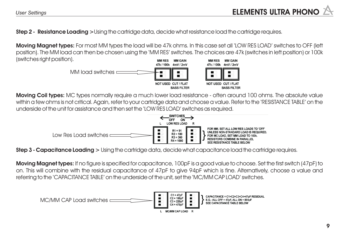**Step 2 - Resistance Loading >**Using the cartridge data, decide what resistance load the cartridge requires.

**Moving Magnet types:** For most MM types the load will be 47k ohms. In this case set all 'LOW RES LOAD' switches to OFF (left position). The MM load can then be chosen using the 'MM RES' switches. The choices are 47k (switches in left position) or 100k (switches right position). **MM RFS MM RFS** MM GAIN MM GAIN



**Moving Coil types:** MC types normally require a much lower load resistance - often around 100 ohms. The absolute value within a few ohms is not critical. Again, refer to your cartridge data and choose a value. Refer to the 'RESISTANCE TABLE' on the underside of the unit for assistance and then set the 'LOW RES LOAD' switches as required.



**Step 3 - Capacitance Loading >** Using the cartridge data, decide what capacitance load the cartridge requires.

**Moving Magnet types:** If no figure is specified for capacitance, 100pF is a good value to choose. Set the first switch (47pF) to on. This will combine with the residual capacitance of 47pF to give 94pF which is fine. Alternatively, choose a value and referring to the 'CAPACITANCE TABLE' on the underside of the unit, set the 'MC/MM CAP LOAD' switches.

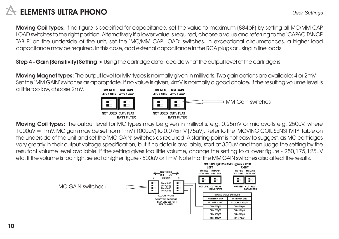# **ELEMENTS ULTRA PHONO** *User Settings*

**Moving Coil types:** If no figure is specified for capacitance, set the value to maximum (884pF) by setting all MC/MM CAP LOAD switches to the right position. Alternatively if a lower value is required, choose a value and referring to the 'CAPACITANCE TABLE' on the underside of the unit, set the 'MC/MM CAP LOAD' switches. In exceptional circumstances, a higher load capacitance may be required. In this case, add external capacitance in the RCA plugs or using in line loads.

**Step 4 - Gain (Sensitivity) Setting >** Using the cartridge data, decide what the output level of the cartridge is.

**Moving Magnet types:** The output level for MM types is normally given in millivolts. Two gain options are available: 4 or 2mV. Set the 'MM GAIN' switches as appropriate. If no value is given, 4mV is normally a good choice. If the resulting volume level is

a little too low, choose 2mV.



**MM RFS** 



**Moving Coil types:** The output level for MC types may be given in millivolts, e.g. 0.25mV or microvolts e.g. 250uV, where 1000uV = 1mV. MC gain may be set from 1mV (1000uV) to 0.075mV (75uV). Refer to the 'MOVING COIL SENSITIVITY' table on the underside of the unit and set the 'MC GAIN' switches as required. A starting point is not easy to suggest, as MC cartridges vary greatly in their output voltage specification, but if no data is available, start at 350uV and then judge the setting by the resultant volume level available. If the setting gives too little volume, change the setting to a lower figure - 250,175,125uV etc. If the volume is too high, select a higher figure - 500uV or 1mV. Note that the MM GAIN switches also affect the results.

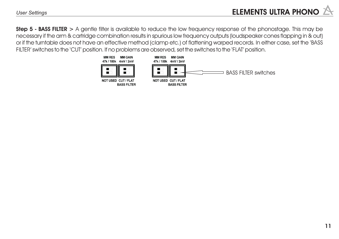**Step 5 - BASS FILTER >** A gentle filter is available to reduce the low frequency response of the phonostage. This may be necessary if the arm & cartridge combination results in spurious low frequency outputs (loudspeaker cones flapping in & out) or if the turntable does not have an effective method (clamp etc.) of flattening warped records. In either case, set the 'BASS FILTER' switches to the 'CUT' position. If no problems are observed, set the switches to the 'FLAT' position.

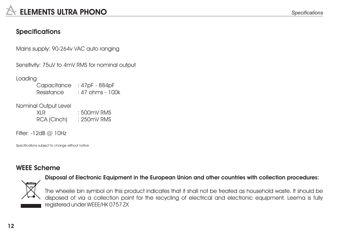# **Specifications**

Mains supply: 90-264v VAC auto ranging

Sensitivity: 75uV to 4mV RMS for nominal output

Loading

Capacitance : 47pF - 884pF Resistance : 47 ohms - 100k

Nominal Output Level

XLR : 500mV RMS RCA (Cinch) : 250mV RMS

Filter: -12dB @ 10Hz

Specifications subject to change without notice.

#### **WEEE Scheme**



**Disposal of Electronic Equipment in the European Union and other countries with collection procedures:**

The wheelie bin symbol on this product indicates that it shall not be treated as household waste. It should be disposed of via a collection point for the recycling of electrical and electronic equipment. Leema is fully registered under WEEE/HK 0757 ZX